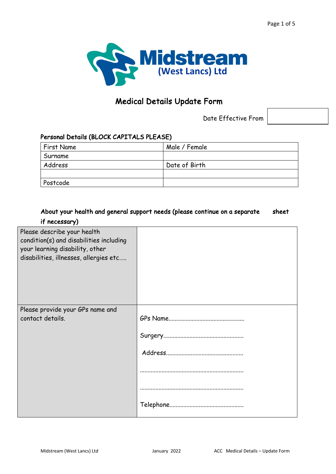

# Medical Details Update Form

Date Effective From

# Personal Details (BLOCK CAPITALS PLEASE)

| First Name | Male / Female |
|------------|---------------|
| Surname    |               |
| Address    | Date of Birth |
|            |               |
| Postcode   |               |

|                                                                                                                                                     | About your health and general support needs (please continue on a separate | sheet |
|-----------------------------------------------------------------------------------------------------------------------------------------------------|----------------------------------------------------------------------------|-------|
| if necessary)                                                                                                                                       |                                                                            |       |
| Please describe your health<br>condition(s) and disabilities including<br>your learning disability, other<br>disabilities, illnesses, allergies etc |                                                                            |       |
| Please provide your GPs name and<br>contact details.                                                                                                |                                                                            |       |
|                                                                                                                                                     |                                                                            |       |
|                                                                                                                                                     |                                                                            |       |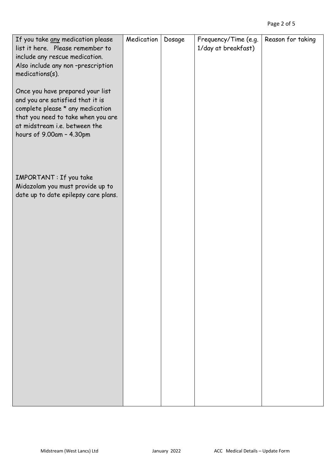| Reason for taking<br>If you take any medication please<br>Frequency/Time (e.g.<br>Dosage<br>list it here. Please remember to<br>1/day at breakfast)<br>include any rescue medication.<br>Also include any non-prescription<br>medications(s).<br>Once you have prepared your list<br>and you are satisfied that it is<br>complete please * any medication<br>that you need to take when you are<br>at midstream i.e. between the<br>hours of 9.00am - 4.30pm<br>IMPORTANT: If you take<br>Midazolam you must provide up to<br>date up to date epilepsy care plans. |
|--------------------------------------------------------------------------------------------------------------------------------------------------------------------------------------------------------------------------------------------------------------------------------------------------------------------------------------------------------------------------------------------------------------------------------------------------------------------------------------------------------------------------------------------------------------------|
|                                                                                                                                                                                                                                                                                                                                                                                                                                                                                                                                                                    |
|                                                                                                                                                                                                                                                                                                                                                                                                                                                                                                                                                                    |
|                                                                                                                                                                                                                                                                                                                                                                                                                                                                                                                                                                    |
|                                                                                                                                                                                                                                                                                                                                                                                                                                                                                                                                                                    |
|                                                                                                                                                                                                                                                                                                                                                                                                                                                                                                                                                                    |
|                                                                                                                                                                                                                                                                                                                                                                                                                                                                                                                                                                    |
|                                                                                                                                                                                                                                                                                                                                                                                                                                                                                                                                                                    |
|                                                                                                                                                                                                                                                                                                                                                                                                                                                                                                                                                                    |
|                                                                                                                                                                                                                                                                                                                                                                                                                                                                                                                                                                    |
|                                                                                                                                                                                                                                                                                                                                                                                                                                                                                                                                                                    |
|                                                                                                                                                                                                                                                                                                                                                                                                                                                                                                                                                                    |
|                                                                                                                                                                                                                                                                                                                                                                                                                                                                                                                                                                    |
|                                                                                                                                                                                                                                                                                                                                                                                                                                                                                                                                                                    |
|                                                                                                                                                                                                                                                                                                                                                                                                                                                                                                                                                                    |
|                                                                                                                                                                                                                                                                                                                                                                                                                                                                                                                                                                    |
|                                                                                                                                                                                                                                                                                                                                                                                                                                                                                                                                                                    |
|                                                                                                                                                                                                                                                                                                                                                                                                                                                                                                                                                                    |
|                                                                                                                                                                                                                                                                                                                                                                                                                                                                                                                                                                    |
|                                                                                                                                                                                                                                                                                                                                                                                                                                                                                                                                                                    |
|                                                                                                                                                                                                                                                                                                                                                                                                                                                                                                                                                                    |
|                                                                                                                                                                                                                                                                                                                                                                                                                                                                                                                                                                    |
|                                                                                                                                                                                                                                                                                                                                                                                                                                                                                                                                                                    |
|                                                                                                                                                                                                                                                                                                                                                                                                                                                                                                                                                                    |
|                                                                                                                                                                                                                                                                                                                                                                                                                                                                                                                                                                    |
|                                                                                                                                                                                                                                                                                                                                                                                                                                                                                                                                                                    |
|                                                                                                                                                                                                                                                                                                                                                                                                                                                                                                                                                                    |
|                                                                                                                                                                                                                                                                                                                                                                                                                                                                                                                                                                    |
|                                                                                                                                                                                                                                                                                                                                                                                                                                                                                                                                                                    |
|                                                                                                                                                                                                                                                                                                                                                                                                                                                                                                                                                                    |
|                                                                                                                                                                                                                                                                                                                                                                                                                                                                                                                                                                    |
|                                                                                                                                                                                                                                                                                                                                                                                                                                                                                                                                                                    |
|                                                                                                                                                                                                                                                                                                                                                                                                                                                                                                                                                                    |
|                                                                                                                                                                                                                                                                                                                                                                                                                                                                                                                                                                    |
|                                                                                                                                                                                                                                                                                                                                                                                                                                                                                                                                                                    |
|                                                                                                                                                                                                                                                                                                                                                                                                                                                                                                                                                                    |
|                                                                                                                                                                                                                                                                                                                                                                                                                                                                                                                                                                    |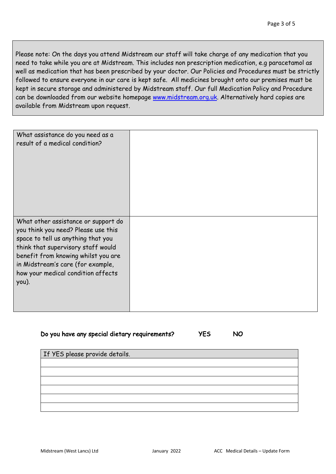Please note: On the days you attend Midstream our staff will take charge of any medication that you need to take while you are at Midstream. This includes non prescription medication, e.g paracetamol as well as medication that has been prescribed by your doctor. Our Policies and Procedures must be strictly followed to ensure everyone in our care is kept safe. All medicines brought onto our premises must be kept in secure storage and administered by Midstream staff. Our full Medication Policy and Procedure can be downloaded from our website homepage www.midstream.org.uk. Alternatively hard copies are available from Midstream upon request.

| What assistance do you need as a<br>result of a medical condition?                                                                                                                                                                                                                |  |
|-----------------------------------------------------------------------------------------------------------------------------------------------------------------------------------------------------------------------------------------------------------------------------------|--|
| What other assistance or support do<br>you think you need? Please use this<br>space to tell us anything that you<br>think that supervisory staff would<br>benefit from knowing whilst you are<br>in Midstream's care (for example,<br>how your medical condition affects<br>you). |  |

# Do you have any special dietary requirements? YES NO

| If YES please provide details. |  |  |
|--------------------------------|--|--|
|                                |  |  |
|                                |  |  |
|                                |  |  |
|                                |  |  |
|                                |  |  |
|                                |  |  |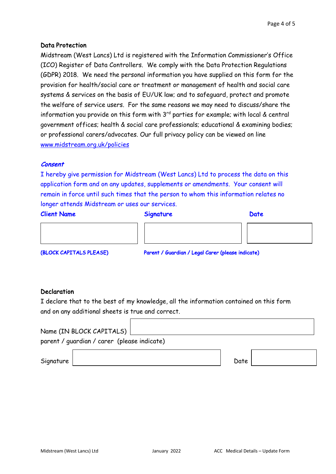#### Data Protection

Midstream (West Lancs) Ltd is registered with the Information Commissioner's Office (ICO) Register of Data Controllers. We comply with the Data Protection Regulations (GDPR) 2018. We need the personal information you have supplied on this form for the provision for health/social care or treatment or management of health and social care systems & services on the basis of EU/UK law; and to safeguard, protect and promote the welfare of service users. For the same reasons we may need to discuss/share the information you provide on this form with  $3<sup>rd</sup>$  parties for example; with local & central government offices; health & social care professionals; educational & examining bodies; or professional carers/advocates. Our full privacy policy can be viewed on line www.midstream.org.uk/policies

#### Consent

I hereby give permission for Midstream (West Lancs) Ltd to process the data on this application form and on any updates, supplements or amendments. Your consent will remain in force until such times that the person to whom this information relates no longer attends Midstream or uses our services.

#### Client Name Signature Signature Date

| <b>(DI OCV CADTTALC DI EACE)</b> |  |  |
|----------------------------------|--|--|

(BLOCK CAPITALS PLEASE) Parent / Guardian / Legal Carer (please indicate)

## **Declaration**

I declare that to the best of my knowledge, all the information contained on this form and on any additional sheets is true and correct.

| Name (IN BLOCK CAPITALS)                    |      |  |
|---------------------------------------------|------|--|
| parent / quardian / carer (please indicate) |      |  |
| Signature                                   | Date |  |